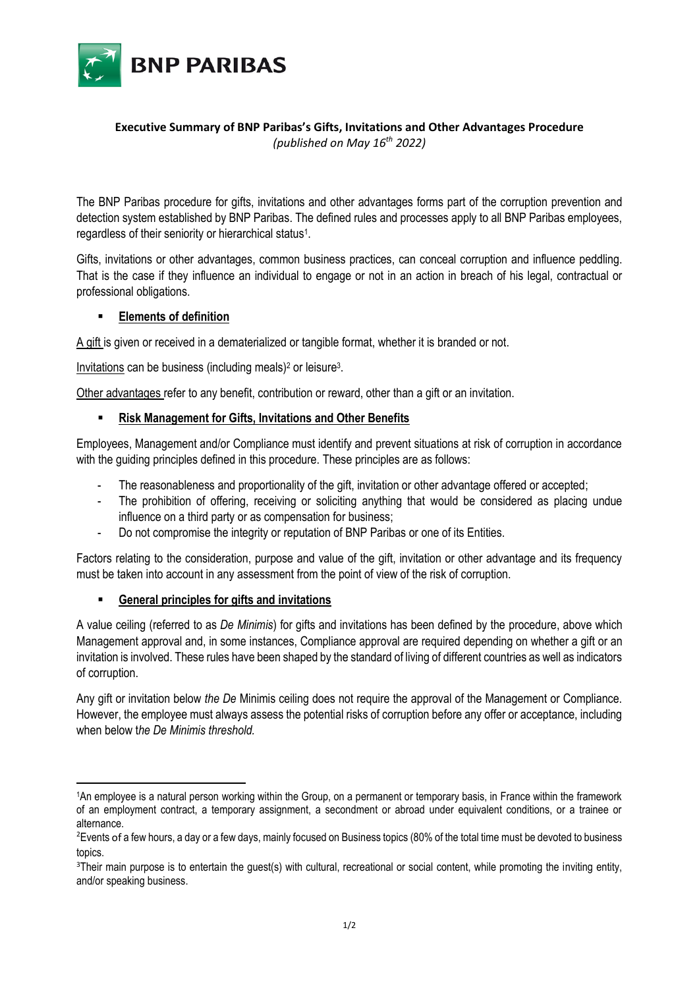

### **Executive Summary of BNP Paribas's Gifts, Invitations and Other Advantages Procedure** *(published on May 16th 2022)*

The BNP Paribas procedure for gifts, invitations and other advantages forms part of the corruption prevention and detection system established by BNP Paribas. The defined rules and processes apply to all BNP Paribas employees, regardless of their seniority or hierarchical status<sup>1</sup>.

Gifts, invitations or other advantages, common business practices, can conceal corruption and influence peddling. That is the case if they influence an individual to engage or not in an action in breach of his legal, contractual or professional obligations.

# ▪ **Elements of definition**

A gift is given or received in a dematerialized or tangible format, whether it is branded or not.

Invitations can be business (including meals)<sup>2</sup> or leisure<sup>3</sup>.

Other advantages refer to any benefit, contribution or reward, other than a gift or an invitation.

# ▪ **Risk Management for Gifts, Invitations and Other Benefits**

Employees, Management and/or Compliance must identify and prevent situations at risk of corruption in accordance with the quiding principles defined in this procedure. These principles are as follows:

- The reasonableness and proportionality of the gift, invitation or other advantage offered or accepted;
- The prohibition of offering, receiving or soliciting anything that would be considered as placing undue influence on a third party or as compensation for business;
- Do not compromise the integrity or reputation of BNP Paribas or one of its Entities.

Factors relating to the consideration, purpose and value of the gift, invitation or other advantage and its frequency must be taken into account in any assessment from the point of view of the risk of corruption.

# ▪ **General principles for gifts and invitations**

A value ceiling (referred to as *De Minimis*) for gifts and invitations has been defined by the procedure, above which Management approval and, in some instances, Compliance approval are required depending on whether a gift or an invitation is involved. These rules have been shaped by the standard of living of different countries as well as indicators of corruption.

Any gift or invitation below *the De* Minimis ceiling does not require the approval of the Management or Compliance. However, the employee must always assess the potential risks of corruption before any offer or acceptance, including when below t*he De Minimis threshold.*

<sup>1</sup>An employee is a natural person working within the Group, on a permanent or temporary basis, in France within the framework of an employment contract, a temporary assignment, a secondment or abroad under equivalent conditions, or a trainee or alternance.

<sup>&</sup>lt;sup>2</sup>Events of a few hours, a day or a few days, mainly focused on Business topics (80% of the total time must be devoted to business topics.

<sup>&</sup>lt;sup>3</sup>Their main purpose is to entertain the quest(s) with cultural, recreational or social content, while promoting the inviting entity, and/or speaking business.